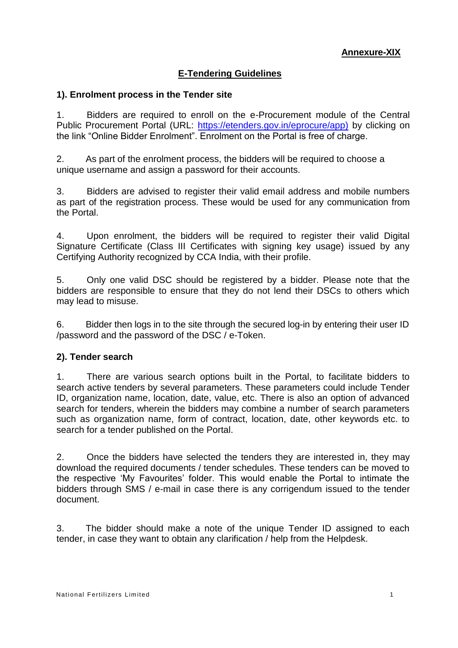## **E-Tendering Guidelines**

### **1). Enrolment process in the Tender site**

1. Bidders are required to enroll on the e-Procurement module of the Central Public Procurement Portal (URL: [https://etenders.gov.in/eprocure/app\)](https://etenders.gov.in/eprocure/app)) by clicking on the link "Online Bidder Enrolment". Enrolment on the Portal is free of charge.

2. As part of the enrolment process, the bidders will be required to choose a unique username and assign a password for their accounts.

3. Bidders are advised to register their valid email address and mobile numbers as part of the registration process. These would be used for any communication from the Portal.

4. Upon enrolment, the bidders will be required to register their valid Digital Signature Certificate (Class III Certificates with signing key usage) issued by any Certifying Authority recognized by CCA India, with their profile.

5. Only one valid DSC should be registered by a bidder. Please note that the bidders are responsible to ensure that they do not lend their DSCs to others which may lead to misuse.

6. Bidder then logs in to the site through the secured log-in by entering their user ID /password and the password of the DSC / e-Token.

#### **2). Tender search**

1. There are various search options built in the Portal, to facilitate bidders to search active tenders by several parameters. These parameters could include Tender ID, organization name, location, date, value, etc. There is also an option of advanced search for tenders, wherein the bidders may combine a number of search parameters such as organization name, form of contract, location, date, other keywords etc. to search for a tender published on the Portal.

2. Once the bidders have selected the tenders they are interested in, they may download the required documents / tender schedules. These tenders can be moved to the respective 'My Favourites' folder. This would enable the Portal to intimate the bidders through SMS / e-mail in case there is any corrigendum issued to the tender document.

3. The bidder should make a note of the unique Tender ID assigned to each tender, in case they want to obtain any clarification / help from the Helpdesk.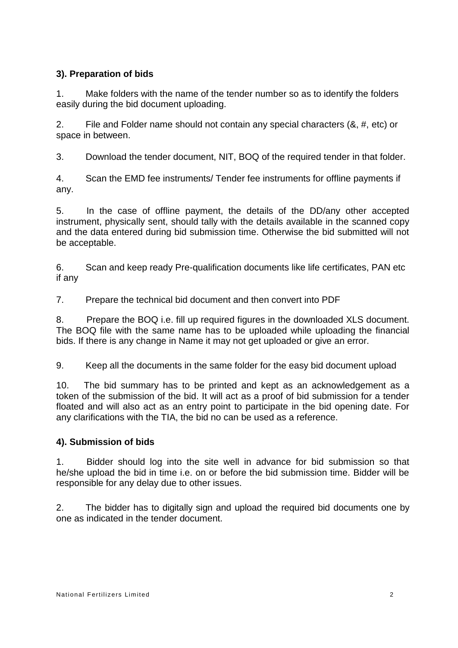## **3). Preparation of bids**

1. Make folders with the name of the tender number so as to identify the folders easily during the bid document uploading.

2. File and Folder name should not contain any special characters (&, #, etc) or space in between.

3. Download the tender document, NIT, BOQ of the required tender in that folder.

4. Scan the EMD fee instruments/ Tender fee instruments for offline payments if any.

5. In the case of offline payment, the details of the DD/any other accepted instrument, physically sent, should tally with the details available in the scanned copy and the data entered during bid submission time. Otherwise the bid submitted will not be acceptable.

6. Scan and keep ready Pre-qualification documents like life certificates, PAN etc if any

7. Prepare the technical bid document and then convert into PDF

8. Prepare the BOQ i.e. fill up required figures in the downloaded XLS document. The BOQ file with the same name has to be uploaded while uploading the financial bids. If there is any change in Name it may not get uploaded or give an error.

9. Keep all the documents in the same folder for the easy bid document upload

10. The bid summary has to be printed and kept as an acknowledgement as a token of the submission of the bid. It will act as a proof of bid submission for a tender floated and will also act as an entry point to participate in the bid opening date. For any clarifications with the TIA, the bid no can be used as a reference.

### **4). Submission of bids**

1. Bidder should log into the site well in advance for bid submission so that he/she upload the bid in time i.e. on or before the bid submission time. Bidder will be responsible for any delay due to other issues.

2. The bidder has to digitally sign and upload the required bid documents one by one as indicated in the tender document.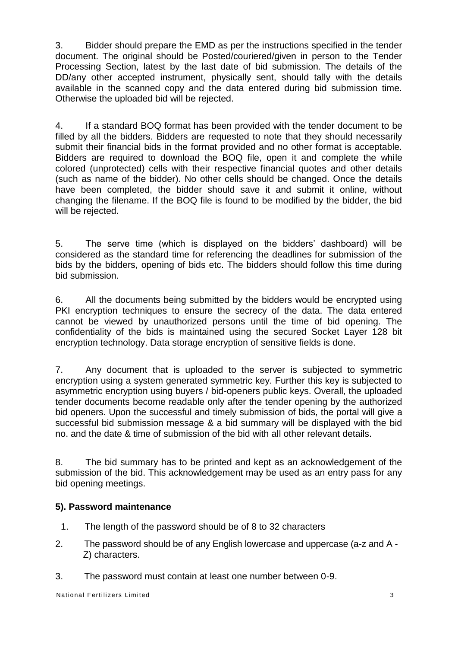3. Bidder should prepare the EMD as per the instructions specified in the tender document. The original should be Posted/couriered/given in person to the Tender Processing Section, latest by the last date of bid submission. The details of the DD/any other accepted instrument, physically sent, should tally with the details available in the scanned copy and the data entered during bid submission time. Otherwise the uploaded bid will be rejected.

4. If a standard BOQ format has been provided with the tender document to be filled by all the bidders. Bidders are requested to note that they should necessarily submit their financial bids in the format provided and no other format is acceptable. Bidders are required to download the BOQ file, open it and complete the while colored (unprotected) cells with their respective financial quotes and other details (such as name of the bidder). No other cells should be changed. Once the details have been completed, the bidder should save it and submit it online, without changing the filename. If the BOQ file is found to be modified by the bidder, the bid will be rejected.

5. The serve time (which is displayed on the bidders' dashboard) will be considered as the standard time for referencing the deadlines for submission of the bids by the bidders, opening of bids etc. The bidders should follow this time during bid submission.

6. All the documents being submitted by the bidders would be encrypted using PKI encryption techniques to ensure the secrecy of the data. The data entered cannot be viewed by unauthorized persons until the time of bid opening. The confidentiality of the bids is maintained using the secured Socket Layer 128 bit encryption technology. Data storage encryption of sensitive fields is done.

7. Any document that is uploaded to the server is subjected to symmetric encryption using a system generated symmetric key. Further this key is subjected to asymmetric encryption using buyers / bid-openers public keys. Overall, the uploaded tender documents become readable only after the tender opening by the authorized bid openers. Upon the successful and timely submission of bids, the portal will give a successful bid submission message & a bid summary will be displayed with the bid no. and the date & time of submission of the bid with all other relevant details.

8. The bid summary has to be printed and kept as an acknowledgement of the submission of the bid. This acknowledgement may be used as an entry pass for any bid opening meetings.

### **5). Password maintenance**

- 1. The length of the password should be of 8 to 32 characters
- 2. The password should be of any English lowercase and uppercase (a-z and A Z) characters.
- 3. The password must contain at least one number between 0-9.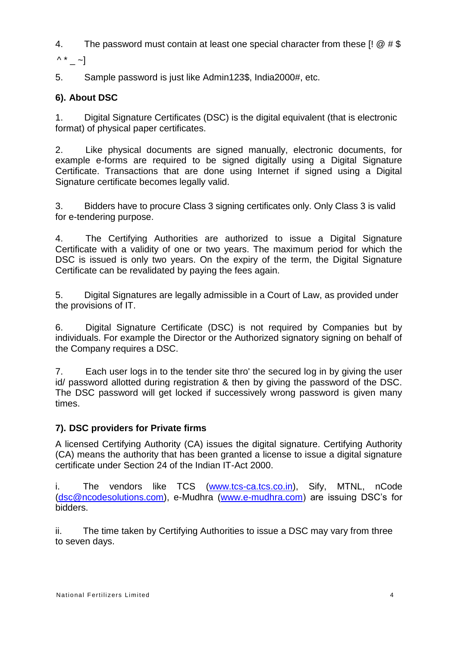4. The password must contain at least one special character from these  $\left[ \right] \omega \neq \$ 

 $\wedge^*$  ~]

5. Sample password is just like Admin123\$, India2000#, etc.

# **6). About DSC**

1. Digital Signature Certificates (DSC) is the digital equivalent (that is electronic format) of physical paper certificates.

2. Like physical documents are signed manually, electronic documents, for example e-forms are required to be signed digitally using a Digital Signature Certificate. Transactions that are done using Internet if signed using a Digital Signature certificate becomes legally valid.

3. Bidders have to procure Class 3 signing certificates only. Only Class 3 is valid for e-tendering purpose.

4. The Certifying Authorities are authorized to issue a Digital Signature Certificate with a validity of one or two years. The maximum period for which the DSC is issued is only two years. On the expiry of the term, the Digital Signature Certificate can be revalidated by paying the fees again.

5. Digital Signatures are legally admissible in a Court of Law, as provided under the provisions of IT.

6. Digital Signature Certificate (DSC) is not required by Companies but by individuals. For example the Director or the Authorized signatory signing on behalf of the Company requires a DSC.

7. Each user logs in to the tender site thro' the secured log in by giving the user id/ password allotted during registration & then by giving the password of the DSC. The DSC password will get locked if successively wrong password is given many times.

# **7). DSC providers for Private firms**

A licensed Certifying Authority (CA) issues the digital signature. Certifying Authority (CA) means the authority that has been granted a license to issue a digital signature certificate under Section 24 of the Indian IT-Act 2000.

i. The vendors like TCS [\(www.tcs-ca.tcs.co.in\)](http://www.tcs-ca.tcs.co.in/), Sify, MTNL, nCode [\(dsc@ncodesolutions.com\)](mailto:dsc@ncodesolutions.com), e-Mudhra [\(www.e-mudhra.com\)](http://www.e-mudhra.com/) are issuing DSC's for bidders.

ii. The time taken by Certifying Authorities to issue a DSC may vary from three to seven days.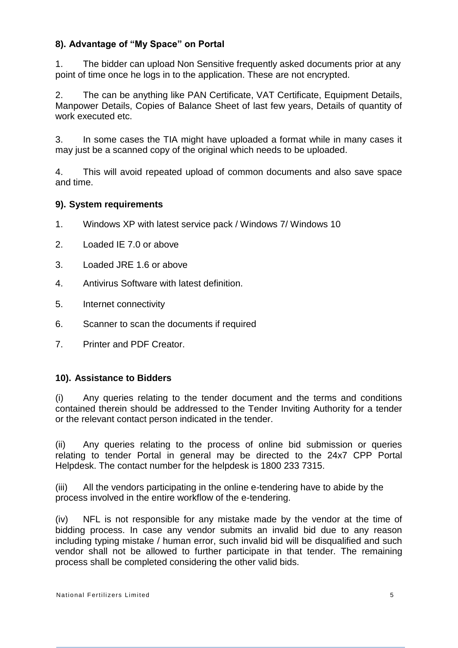## **8). Advantage of "My Space" on Portal**

1. The bidder can upload Non Sensitive frequently asked documents prior at any point of time once he logs in to the application. These are not encrypted.

2. The can be anything like PAN Certificate, VAT Certificate, Equipment Details, Manpower Details, Copies of Balance Sheet of last few years, Details of quantity of work executed etc.

3. In some cases the TIA might have uploaded a format while in many cases it may just be a scanned copy of the original which needs to be uploaded.

4. This will avoid repeated upload of common documents and also save space and time.

### **9). System requirements**

- 1. Windows XP with latest service pack / Windows 7/ Windows 10
- 2. Loaded IE 7.0 or above
- 3. Loaded JRE 1.6 or above
- 4. Antivirus Software with latest definition.
- 5. Internet connectivity
- 6. Scanner to scan the documents if required
- 7. Printer and PDF Creator.

#### **10). Assistance to Bidders**

(i) Any queries relating to the tender document and the terms and conditions contained therein should be addressed to the Tender Inviting Authority for a tender or the relevant contact person indicated in the tender.

(ii) Any queries relating to the process of online bid submission or queries relating to tender Portal in general may be directed to the 24x7 CPP Portal Helpdesk. The contact number for the helpdesk is 1800 233 7315.

(iii) All the vendors participating in the online e-tendering have to abide by the process involved in the entire workflow of the e-tendering.

(iv) NFL is not responsible for any mistake made by the vendor at the time of bidding process. In case any vendor submits an invalid bid due to any reason including typing mistake / human error, such invalid bid will be disqualified and such vendor shall not be allowed to further participate in that tender. The remaining process shall be completed considering the other valid bids.